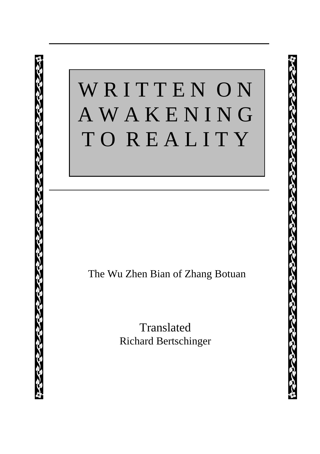# WRITTEN ON A W A K E N I N G T O R E A L I T Y

The Wu Zhen Bian of Zhang Botuan

Translated Richard Bertschinger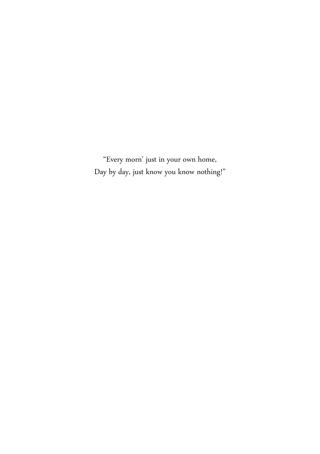"Every morn' just in your own home, Day by day, just know you know nothing!"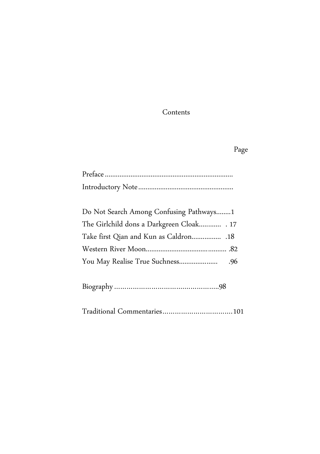# Contents

# Page

| Do Not Search Among Confusing Pathways1   |  |
|-------------------------------------------|--|
| The Girlchild dons a Darkgreen Cloak . 17 |  |
| Take first Qian and Kun as Caldron .18    |  |
|                                           |  |
|                                           |  |
|                                           |  |

|--|--|--|

|--|--|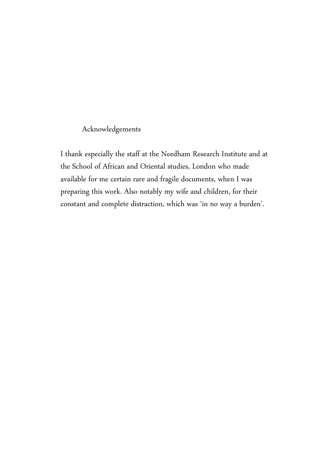# Acknowledgements

I thank especially the staff at the Needham Research Institute and at the School of African and Oriental studies, London who made available for me certain rare and fragile documents, when I was preparing this work. Also notably my wife and children, for their constant and complete distraction, which was 'in no way a burden'.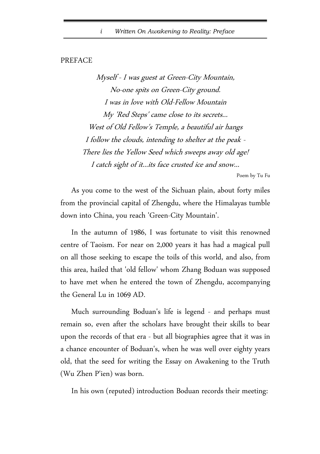#### PREFACE

Myself - I was guest at Green-City Mountain, No-one spits on Green-City ground. I was in love with Old-Fellow Mountain My 'Red Steps' came close to its secrets... West of Old Fellow's Temple, a beautiful air hangs I follow the clouds, intending to shelter at the peak - There lies the Yellow Seed which sweeps away old age! I catch sight of it...its face crusted ice and snow...

Poem by Tu Fu

As you come to the west of the Sichuan plain, about forty miles from the provincial capital of Zhengdu, where the Himalayas tumble down into China, you reach 'Green-City Mountain'.

In the autumn of 1986, I was fortunate to visit this renowned centre of Taoism. For near on 2,000 years it has had a magical pull on all those seeking to escape the toils of this world, and also, from this area, hailed that 'old fellow' whom Zhang Boduan was supposed to have met when he entered the town of Zhengdu, accompanying the General Lu in 1069 AD.

Much surrounding Boduan's life is legend - and perhaps must remain so, even after the scholars have brought their skills to bear upon the records of that era - but all biographies agree that it was in a chance encounter of Boduan's, when he was well over eighty years old, that the seed for writing the Essay on Awakening to the Truth (Wu Zhen P'ien) was born.

In his own (reputed) introduction Boduan records their meeting: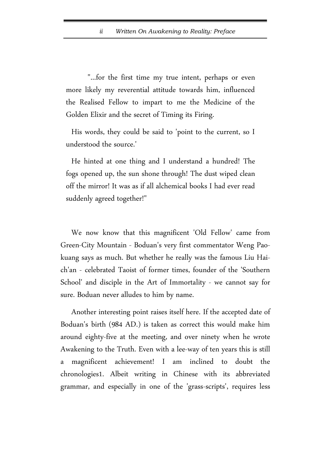"...for the first time my true intent, perhaps or even more likely my reverential attitude towards him, influenced the Realised Fellow to impart to me the Medicine of the Golden Elixir and the secret of Timing its Firing.

His words, they could be said to 'point to the current, so I understood the source.'

He hinted at one thing and I understand a hundred! The fogs opened up, the sun shone through! The dust wiped clean off the mirror! It was as if all alchemical books I had ever read suddenly agreed together!"

We now know that this magnificent 'Old Fellow' came from Green-City Mountain - Boduan's very first commentator Weng Paokuang says as much. But whether he really was the famous Liu Haich'an - celebrated Taoist of former times, founder of the 'Southern School' and disciple in the Art of Immortality - we cannot say for sure. Boduan never alludes to him by name.

Another interesting point raises itself here. If the accepted date of Boduan's birth (984 AD.) is taken as correct this would make him around eighty-five at the meeting, and over ninety when he wrote Awakening to the Truth. Even with a lee-way of ten years this is still a magnificent achievement! I am inclined to doubt the chronologies1. Albeit writing in Chinese with its abbreviated grammar, and especially in one of the 'grass-scripts', requires less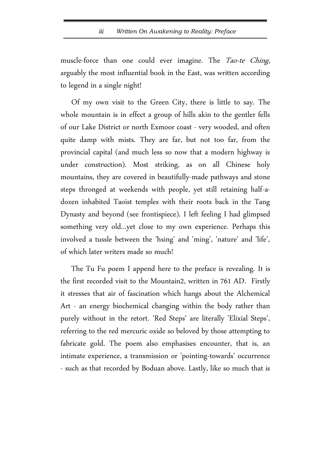muscle-force than one could ever imagine. The Tao-te Ching, arguably the most influential book in the East, was written according to legend in a single night!

Of my own visit to the Green City, there is little to say. The whole mountain is in effect a group of hills akin to the gentler fells of our Lake District or north Exmoor coast - very wooded, and often quite damp with mists. They are far, but not too far, from the provincial capital (and much less so now that a modern highway is under construction). Most striking, as on all Chinese holy mountains, they are covered in beautifully-made pathways and stone steps thronged at weekends with people, yet still retaining half-adozen inhabited Taoist temples with their roots back in the Tang Dynasty and beyond (see frontispiece). I left feeling I had glimpsed something very old...yet close to my own experience. Perhaps this involved a tussle between the 'hsing' and 'ming', 'nature' and 'life', of which later writers made so much!

The Tu Fu poem I append here to the preface is revealing. It is the first recorded visit to the Mountain2, written in 761 AD. Firstly it stresses that air of fascination which hangs about the Alchemical Art - an energy biochemical changing within the body rather than purely without in the retort. 'Red Steps' are literally 'Elixial Steps', referring to the red mercuric oxide so beloved by those attempting to fabricate gold. The poem also emphasises encounter, that is, an intimate experience, a transmission or 'pointing-towards' occurrence - such as that recorded by Boduan above. Lastly, like so much that is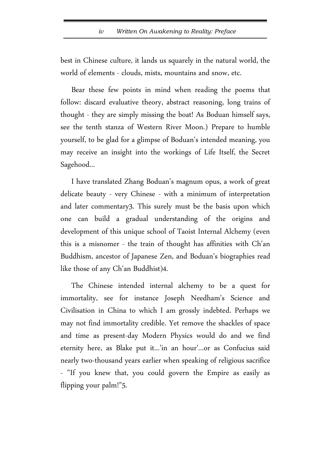best in Chinese culture, it lands us squarely in the natural world, the world of elements - clouds, mists, mountains and snow, etc.

Bear these few points in mind when reading the poems that follow: discard evaluative theory, abstract reasoning, long trains of thought - they are simply missing the boat! As Boduan himself says, see the tenth stanza of Western River Moon.) Prepare to humble yourself, to be glad for a glimpse of Boduan's intended meaning, you may receive an insight into the workings of Life Itself, the Secret Sagehood...

I have translated Zhang Boduan's magnum opus, a work of great delicate beauty - very Chinese - with a minimum of interpretation and later commentary3. This surely must be the basis upon which one can build a gradual understanding of the origins and development of this unique school of Taoist Internal Alchemy (even this is a misnomer - the train of thought has affinities with Ch'an Buddhism, ancestor of Japanese Zen, and Boduan's biographies read like those of any Ch'an Buddhist)4.

The Chinese intended internal alchemy to be a quest for immortality, see for instance Joseph Needham's Science and Civilisation in China to which I am grossly indebted. Perhaps we may not find immortality credible. Yet remove the shackles of space and time as present-day Modern Physics would do and we find eternity here, as Blake put it...'in an hour'...or as Confucius said nearly two-thousand years earlier when speaking of religious sacrifice - "If you knew that, you could govern the Empire as easily as flipping your palm!"5.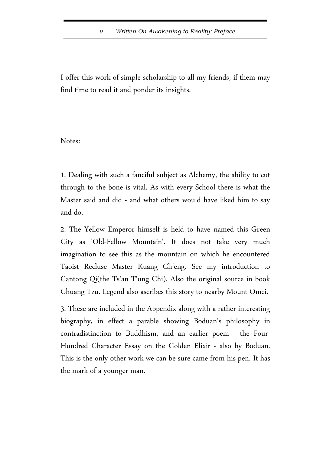*v Written On Awakening to Reality: Preface*

I offer this work of simple scholarship to all my friends, if them may find time to read it and ponder its insights.

Notes:

1. Dealing with such a fanciful subject as Alchemy, the ability to cut through to the bone is vital. As with every School there is what the Master said and did - and what others would have liked him to say and do.

2. The Yellow Emperor himself is held to have named this Green City as 'Old-Fellow Mountain'. It does not take very much imagination to see this as the mountain on which he encountered Taoist Recluse Master Kuang Ch'eng. See my introduction to Cantong Qi(the Ts'an T'ung Chi). Also the original source in book Chuang Tzu. Legend also ascribes this story to nearby Mount Omei.

3. These are included in the Appendix along with a rather interesting biography, in effect a parable showing Boduan's philosophy in contradistinction to Buddhism, and an earlier poem - the Four-Hundred Character Essay on the Golden Elixir - also by Boduan. This is the only other work we can be sure came from his pen. It has the mark of a younger man.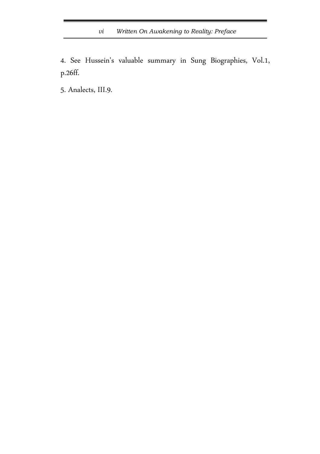*vi Written On Awakening to Reality: Preface*

4. See Hussein's valuable summary in Sung Biographies, Vol.1, p.26ff.

5. Analects, III.9.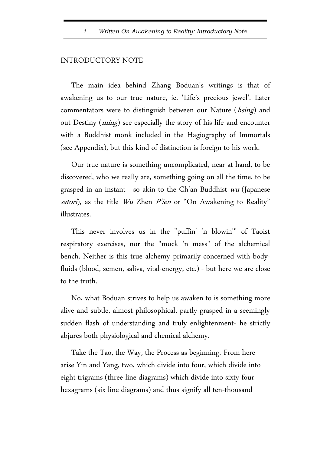## INTRODUCTORY NOTE

The main idea behind Zhang Boduan's writings is that of awakening us to our true nature, ie. 'Life's precious jewel'. Later commentators were to distinguish between our Nature (*hsing*) and out Destiny (*ming*) see especially the story of his life and encounter with a Buddhist monk included in the Hagiography of Immortals (see Appendix), but this kind of distinction is foreign to his work.

Our true nature is something uncomplicated, near at hand, to be discovered, who we really are, something going on all the time, to be grasped in an instant - so akin to the Ch'an Buddhist wu (Japanese satori), as the title  $Wu$  Zhen P'ien or "On Awakening to Reality" illustrates.

This never involves us in the "puffin' 'n blowin'" of Taoist respiratory exercises, nor the "muck 'n mess" of the alchemical bench. Neither is this true alchemy primarily concerned with bodyfluids (blood, semen, saliva, vital-energy, etc.) - but here we are close to the truth.

No, what Boduan strives to help us awaken to is something more alive and subtle, almost philosophical, partly grasped in a seemingly sudden flash of understanding and truly enlightenment- he strictly abjures both physiological and chemical alchemy.

Take the Tao, the Way, the Process as beginning. From here arise Yin and Yang, two, which divide into four, which divide into eight trigrams (three-line diagrams) which divide into sixty-four hexagrams (six line diagrams) and thus signify all ten-thousand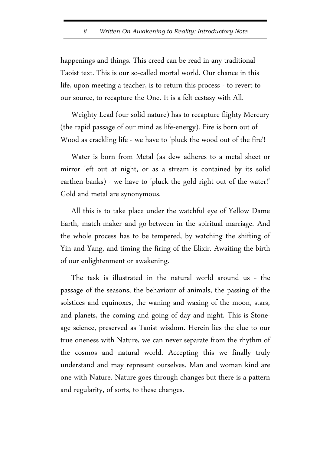happenings and things. This creed can be read in any traditional Taoist text. This is our so-called mortal world. Our chance in this life, upon meeting a teacher, is to return this process - to revert to our source, to recapture the One. It is a felt ecstasy with All.

Weighty Lead (our solid nature) has to recapture flighty Mercury (the rapid passage of our mind as life-energy). Fire is born out of Wood as crackling life - we have to 'pluck the wood out of the fire'!

Water is born from Metal (as dew adheres to a metal sheet or mirror left out at night, or as a stream is contained by its solid earthen banks) - we have to 'pluck the gold right out of the water!' Gold and metal are synonymous.

All this is to take place under the watchful eye of Yellow Dame Earth, match-maker and go-between in the spiritual marriage. And the whole process has to be tempered, by watching the shifting of Yin and Yang, and timing the firing of the Elixir. Awaiting the birth of our enlightenment or awakening.

The task is illustrated in the natural world around us - the passage of the seasons, the behaviour of animals, the passing of the solstices and equinoxes, the waning and waxing of the moon, stars, and planets, the coming and going of day and night. This is Stoneage science, preserved as Taoist wisdom. Herein lies the clue to our true oneness with Nature, we can never separate from the rhythm of the cosmos and natural world. Accepting this we finally truly understand and may represent ourselves. Man and woman kind are one with Nature. Nature goes through changes but there is a pattern and regularity, of sorts, to these changes.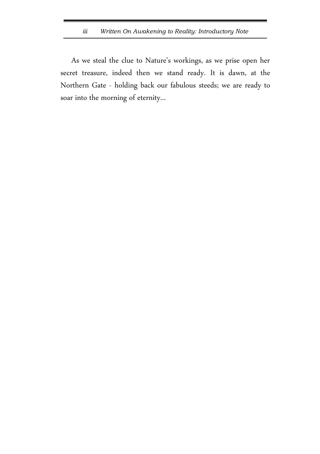### *iii Written On Awakening to Reality: Introductory Note*

As we steal the clue to Nature's workings, as we prise open her secret treasure, indeed then we stand ready. It is dawn, at the Northern Gate - holding back our fabulous steeds; we are ready to soar into the morning of eternity...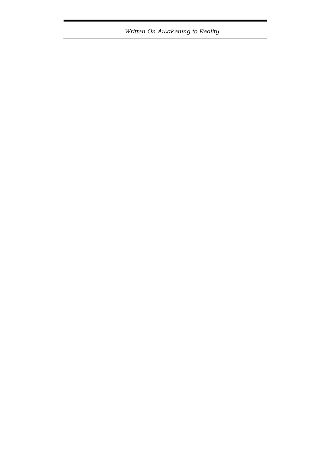*Written On Awakening to Reality*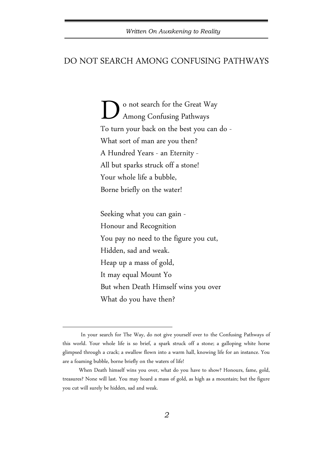## DO NOT SEARCH AMONG CONFUSING PATHWAYS

o not search for the Great Way Among Confusing Pathways **D** o not search for the Great Way<br>To turn your back on the best you can do -What sort of man are you then? A Hundred Years - an Eternity - All but sparks struck off a stone! Your whole life a bubble, Borne briefly on the water!

Seeking what you can gain - Honour and Recognition You pay no need to the figure you cut, Hidden, sad and weak. Heap up a mass of gold, It may equal Mount Yo But when Death Himself wins you over What do you have then?

In your search for The Way, do not give yourself over to the Confusing Pathways of this world. Your whole life is so brief, a spark struck off a stone; a galloping white horse glimpsed through a crack; a swallow flown into a warm hall, knowing life for an instance. You are a foaming bubble, borne briefly on the waters of life!

When Death himself wins you over, what do you have to show? Honours, fame, gold, treasures? None will last. You may hoard a mass of gold, as high as a mountain; but the figure you cut will surely be hidden, sad and weak.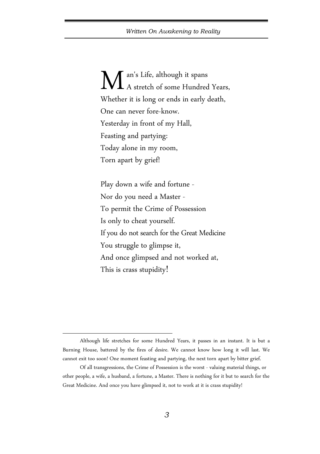an's Life, although it spans A stretch of some Hundred Years, Whether it is long or ends in early death, One can never fore-know. Yesterday in front of my Hall, Feasting and partying: Today alone in my room, Torn apart by grief!  $\sum_{\text{Whether}}$ 

Play down a wife and fortune - Nor do you need a Master - To permit the Crime of Possession Is only to cheat yourself. If you do not search for the Great Medicine You struggle to glimpse it, And once glimpsed and not worked at, This is crass stupidity!

Although life stretches for some Hundred Years, it passes in an instant. It is but a Burning House, battered by the fires of desire. We cannot know how long it will last. We cannot exit too soon! One moment feasting and partying, the next torn apart by bitter grief.

Of all transgressions, the Crime of Possession is the worst - valuing material things, or other people, a wife, a husband, a fortune, a Master. There is nothing for it but to search for the Great Medicine. And once you have glimpsed it, not to work at it is crass stupidity!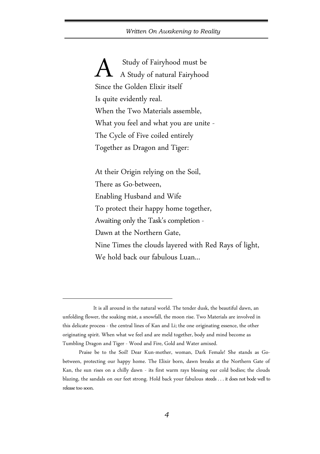Study of Fairyhood must be A Study of natural Fairyhood A Study of Fairyhood<br>Since the Golden Elixir itself Is quite evidently real. When the Two Materials assemble, What you feel and what you are unite - The Cycle of Five coiled entirely Together as Dragon and Tiger:

At their Origin relying on the Soil, There as Go-between, Enabling Husband and Wife To protect their happy home together, Awaiting only the Task's completion - Dawn at the Northern Gate, Nine Times the clouds layered with Red Rays of light, We hold back our fabulous Luan...

It is all around in the natural world. The tender dusk, the beautiful dawn, an unfolding flower, the soaking mist, a snowfall, the moon rise. Two Materials are involved in this delicate process - the central lines of Kan and Li; the one originating essence, the other originating spirit. When what we feel and are meld together, body and mind become as Tumbling Dragon and Tiger - Wood and Fire, Gold and Water amixed.

Praise be to the Soil! Dear Kun-mother, woman, Dark Female! She stands as Gobetween, protecting our happy home. The Elixir born, dawn breaks at the Northern Gate of Kan, the sun rises on a chilly dawn - its first warm rays blessing our cold bodies; the clouds blazing, the sandals on our feet strong. Hold back your fabulous steeds . . . it does not bode well to release too soon.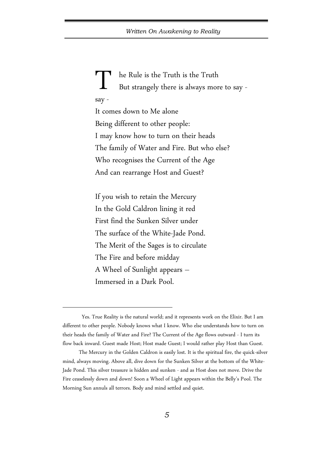he Rule is the Truth is the Truth But strangely there is always more to say -  $\prod_{\text{say }-}$ It comes down to Me alone Being different to other people: I may know how to turn on their heads The family of Water and Fire. But who else? Who recognises the Current of the Age And can rearrange Host and Guest?

If you wish to retain the Mercury In the Gold Caldron lining it red First find the Sunken Silver under The surface of the White-Jade Pond. The Merit of the Sages is to circulate The Fire and before midday A Wheel of Sunlight appears – Immersed in a Dark Pool.

Yes. True Reality is the natural world; and it represents work on the Elixir. But I am different to other people. Nobody knows what I know. Who else understands how to turn on their heads the family of Water and Fire? The Current of the Age flows outward - I turn its flow back inward. Guest made Host; Host made Guest; I would rather play Host than Guest.

The Mercury in the Golden Caldron is easily lost. It is the spiritual fire, the quick-silver mind, always moving. Above all, dive down for the Sunken Silver at the bottom of the White-Jade Pond. This silver treasure is hidden and sunken - and as Host does not move. Drive the Fire ceaselessly down and down! Soon a Wheel of Light appears within the Belly's Pool. The Morning Sun annuls all terrors. Body and mind settled and quiet.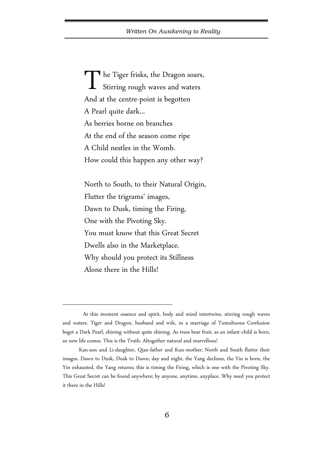he Tiger frisks, the Dragon soars, Stirring rough waves and waters And at the centre-point is begotten A Pearl quite dark... As berries borne on branches At the end of the season come ripe A Child nestles in the Womb. How could this happen any other way?  $\prod_{\text{And } i}$ 

North to South, to their Natural Origin, Flutter the trigrams' images, Dawn to Dusk, timing the Firing, One with the Pivoting Sky. You must know that this Great Secret Dwells also in the Marketplace. Why should you protect its Stillness Alone there in the Hills!

At this moment essence and spirit, body and mind intertwine, stirring rough waves and waters. Tiger and Dragon, husband and wife, in a marriage of Tumultuous Confusion beget a Dark Pearl, shining without quite shining. As trees bear fruit, as an infant-child is born, so new life comes. This is the Truth. Altogether natural and marvellous!

Kan-son and Li-daughter, Qian-father and Kun-mother; North and South flutter their images. Dawn to Dusk, Dusk to Dawn; day and night, the Yang declines, the Yin is born, the Yin exhausted, the Yang returns; this is timing the Firing, which is one with the Pivoting Sky. This Great Secret can be found anywhere; by anyone, anytime, anyplace. Why need you protect it there in the Hills!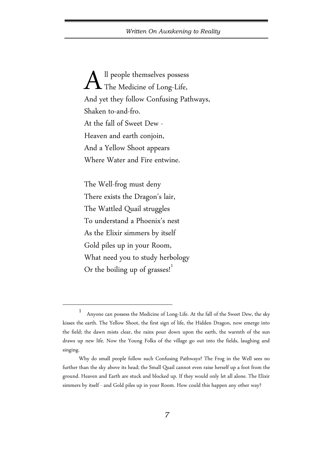ll people themselves possess The Medicine of Long-Life, And yet they follow Confusing Pathways, Shaken to-and-fro. At the fall of Sweet Dew - Heaven and earth conjoin, And a Yellow Shoot appears Where Water and Fire entwine.  $\overline{\rm A}_{\scriptscriptstyle \rm And \, v}$ 

The Well-frog must deny There exists the Dragon's lair, The Wattled Quail struggles To understand a Phoenix's nest As the Elixir simmers by itself Gold piles up in your Room, What need you to study herbology Or the boiling up of grasses! $<sup>1</sup>$ </sup>

<sup>1</sup> Anyone can possess the Medicine of Long-Life. At the fall of the Sweet Dew, the sky kisses the earth. The Yellow Shoot, the first sign of life, the Hidden Dragon, now emerge into the field; the dawn mists clear, the rains pour down upon the earth, the warmth of the sun draws up new life. Now the Young Folks of the village go out into the fields, laughing and singing.

Why do small people follow such Confusing Pathways? The Frog in the Well sees no further than the sky above its head; the Small Quail cannot even raise herself up a foot from the ground. Heaven and Earth are stuck and blocked up. If they would only let all alone. The Elixir simmers by itself - and Gold piles up in your Room. How could this happen any other way?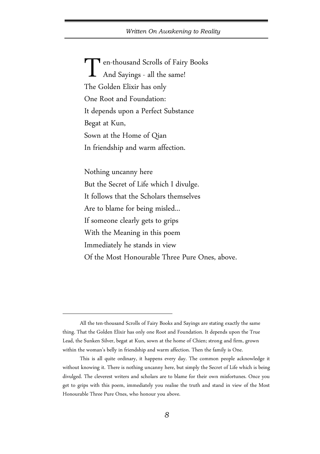en-thousand Scrolls of Fairy Books And Sayings - all the same! The Golden Elixir has only One Root and Foundation: It depends upon a Perfect Substance Begat at Kun, Sown at the Home of Qian In friendship and warm affection.  $\prod_{\text{The Q}}$ 

Nothing uncanny here But the Secret of Life which I divulge. It follows that the Scholars themselves Are to blame for being misled... If someone clearly gets to grips With the Meaning in this poem Immediately he stands in view Of the Most Honourable Three Pure Ones, above.

All the ten-thousand Scrolls of Fairy Books and Sayings are stating exactly the same thing. That the Golden Elixir has only one Root and Foundation. It depends upon the True Lead, the Sunken Silver, begat at Kun, sown at the home of Chien; strong and firm, grown within the woman's belly in friendship and warm affection. Then the family is One.

This is all quite ordinary, it happens every day. The common people acknowledge it without knowing it. There is nothing uncanny here, but simply the Secret of Life which is being divulged. The cleverest writers and scholars are to blame for their own misfortunes. Once you get to grips with this poem, immediately you realise the truth and stand in view of the Most Honourable Three Pure Ones, who honour you above.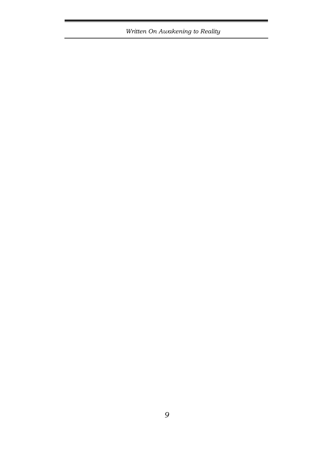*Written On Awakening to Reality*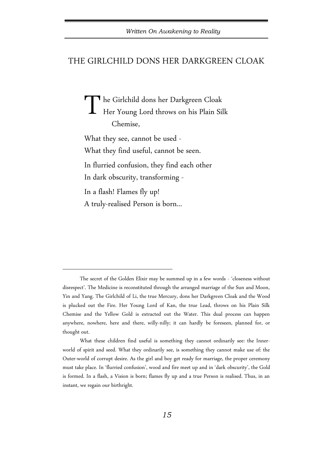#### THE GIRLCHILD DONS HER DARKGREEN CLOAK

he Girlchild dons her Darkgreen Cloak Her Young Lord throws on his Plain Silk Chemise, What they see, cannot be used - What they find useful, cannot be seen. In flurried confusion, they find each other In dark obscurity, transforming - In a flash! Flames fly up! T

A truly-realised Person is born...

The secret of the Golden Elixir may be summed up in a few words - 'closeness without disrespect'. The Medicine is reconstituted through the arranged marriage of the Sun and Moon, Yin and Yang. The Girlchild of Li, the true Mercury, dons her Darkgreen Cloak and the Wood is plucked out the Fire. Her Young Lord of Kan, the true Lead, throws on his Plain Silk Chemise and the Yellow Gold is extracted out the Water. This dual process can happen anywhere, nowhere, here and there, willy-nilly; it can hardly be foreseen, planned for, or thought out.

What these children find useful is something they cannot ordinarily see: the Innerworld of spirit and seed. What they ordinarily see, is something they cannot make use of: the Outer-world of corrupt desire. As the girl and boy get ready for marriage, the proper ceremony must take place. In 'flurried confusion', wood and fire meet up and in 'dark obscurity', the Gold is formed. In a flash, a Vision is born; flames fly up and a true Person is realised. Thus, in an instant, we regain our birthright.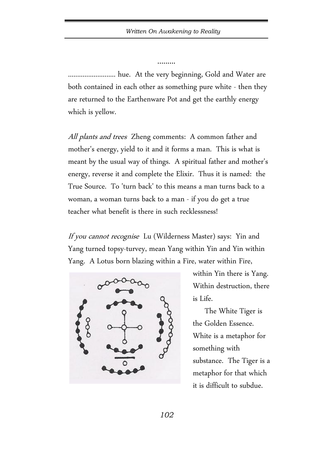.......................... hue. At the very beginning, Gold and Water are both contained in each other as something pure white - then they are returned to the Earthenware Pot and get the earthly energy which is yellow.

.........

All plants and trees Zheng comments: A common father and mother's energy, yield to it and it forms a man. This is what is meant by the usual way of things. A spiritual father and mother's energy, reverse it and complete the Elixir. Thus it is named: the True Source. To 'turn back' to this means a man turns back to a woman, a woman turns back to a man - if you do get a true teacher what benefit is there in such recklessness!

If you cannot recognise Lu (Wilderness Master) says: Yin and Yang turned topsy-turvey, mean Yang within Yin and Yin within Yang. A Lotus born blazing within a Fire, water within Fire,



within Yin there is Yang. Within destruction, there is Life.

The White Tiger is the Golden Essence. White is a metaphor for something with substance. The Tiger is a metaphor for that which it is difficult to subdue.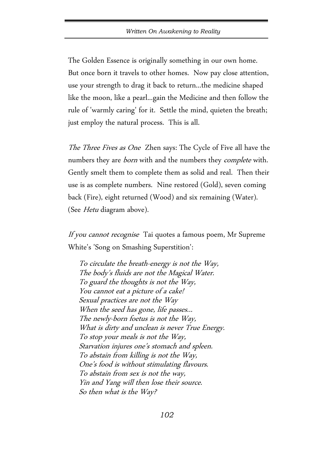The Golden Essence is originally something in our own home. But once born it travels to other homes. Now pay close attention, use your strength to drag it back to return...the medicine shaped like the moon, like a pearl...gain the Medicine and then follow the rule of 'warmly caring' for it. Settle the mind, quieten the breath; just employ the natural process. This is all.

The Three Fives as One Zhen says: The Cycle of Five all have the numbers they are *born* with and the numbers they *complete* with. Gently smelt them to complete them as solid and real. Then their use is as complete numbers. Nine restored (Gold), seven coming back (Fire), eight returned (Wood) and six remaining (Water). (See *Hetu* diagram above).

If you cannot recognise Tai quotes a famous poem, Mr Supreme White's 'Song on Smashing Superstition':

To circulate the breath-energy is not the Way, The body's fluids are not the Magical Water. To guard the thoughts is not the Way, You cannot eat a picture of a cake! Sexual practices are not the Way When the seed has gone, life passes... The newly-born foetus is not the Way, What is dirty and unclean is never True Energy. To stop your meals is not the Way, Starvation injures one's stomach and spleen. To abstain from killing is not the Way, One's food is without stimulating flavours. To abstain from sex is not the way, Yin and Yang will then lose their source. So then what is the Way?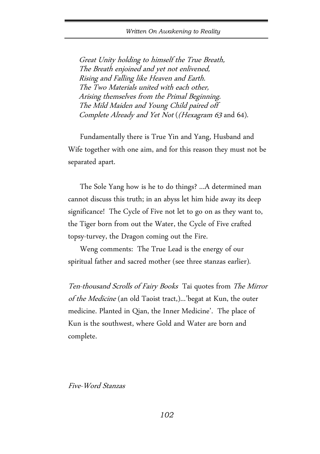Great Unity holding to himself the True Breath, The Breath enjoined and yet not enlivened, Rising and Falling like Heaven and Earth. The Two Materials united with each other, Arising themselves from the Primal Beginning. The Mild Maiden and Young Child paired off Complete Already and Yet Not ((Hexagram 63 and 64).

Fundamentally there is True Yin and Yang, Husband and Wife together with one aim, and for this reason they must not be separated apart.

The Sole Yang how is he to do things? ...A determined man cannot discuss this truth; in an abyss let him hide away its deep significance! The Cycle of Five not let to go on as they want to, the Tiger born from out the Water, the Cycle of Five crafted topsy-turvey, the Dragon coming out the Fire.

Weng comments: The True Lead is the energy of our spiritual father and sacred mother (see three stanzas earlier).

Ten-thousand Scrolls of Fairy Books Tai quotes from The Mirror of the Medicine (an old Taoist tract,)...'begat at Kun, the outer medicine. Planted in Qian, the Inner Medicine'. The place of Kun is the southwest, where Gold and Water are born and complete.

Five-Word Stanzas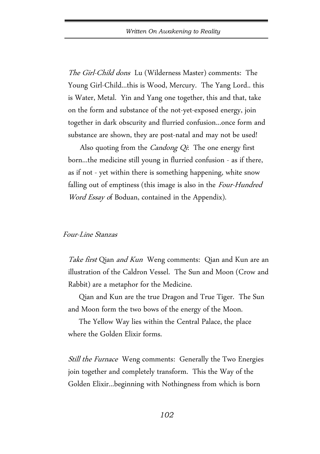The Girl-Child dons Lu (Wilderness Master) comments: The Young Girl-Child...this is Wood, Mercury. The Yang Lord.. this is Water, Metal. Yin and Yang one together, this and that, take on the form and substance of the not-yet-exposed energy, join together in dark obscurity and flurried confusion...once form and substance are shown, they are post-natal and may not be used!

Also quoting from the *Candong Qi*: The one energy first born...the medicine still young in flurried confusion - as if there, as if not - yet within there is something happening, white snow falling out of emptiness (this image is also in the *Four-Hundred* Word Essay of Boduan, contained in the Appendix).

## Four-Line Stanzas

Take first Qian and Kun Weng comments: Qian and Kun are an illustration of the Caldron Vessel. The Sun and Moon (Crow and Rabbit) are a metaphor for the Medicine.

Qian and Kun are the true Dragon and True Tiger. The Sun and Moon form the two bows of the energy of the Moon.

The Yellow Way lies within the Central Palace, the place where the Golden Elixir forms.

Still the Furnace Weng comments: Generally the Two Energies join together and completely transform. This the Way of the Golden Elixir...beginning with Nothingness from which is born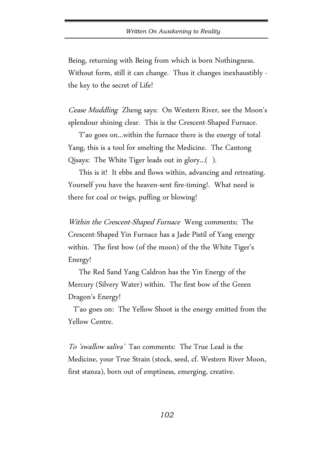#### *Written On Awakening to Reality*

Being, returning with Being from which is born Nothingness. Without form, still it can change. Thus it changes inexhaustibly the key to the secret of Life!

Cease Muddling Zheng says: On Western River, see the Moon's splendour shining clear. This is the Crescent-Shaped Furnace.

T'ao goes on...within the furnace there is the energy of total Yang, this is a tool for smelting the Medicine. The Cantong Qisays: The White Tiger leads out in glory...( ).

This is it! It ebbs and flows within, advancing and retreating. Yourself you have the heaven-sent fire-timing!. What need is there for coal or twigs, puffing or blowing!

Within the Crescent-Shaped Furnace Weng comments; The Crescent-Shaped Yin Furnace has a Jade Pistil of Yang energy within. The first bow (of the moon) of the the White Tiger's Energy!

The Red Sand Yang Caldron has the Yin Energy of the Mercury (Silvery Water) within. The first bow of the Green Dragon's Energy!

T'ao goes on: The Yellow Shoot is the energy emitted from the Yellow Centre.

To 'swallow saliva' Tao comments: The True Lead is the Medicine, your True Strain (stock, seed, cf. Western River Moon, first stanza), born out of emptiness, emerging, creative.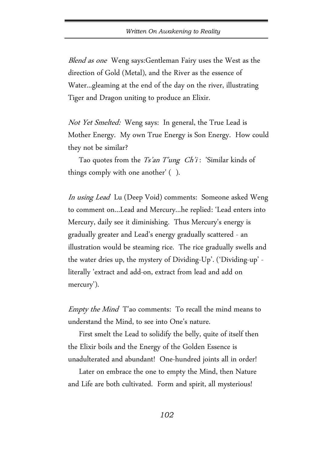Blend as one Weng says: Gentleman Fairy uses the West as the direction of Gold (Metal), and the River as the essence of Water...gleaming at the end of the day on the river, illustrating Tiger and Dragon uniting to produce an Elixir.

Not Yet Smelted: Weng says: In general, the True Lead is Mother Energy. My own True Energy is Son Energy. How could they not be similar?

Tao quotes from the  $Ts'an T'ung Ch'i$ : 'Similar kinds of things comply with one another' ( ).

In using Lead Lu (Deep Void) comments: Someone asked Weng to comment on...Lead and Mercury...he replied: 'Lead enters into Mercury, daily see it diminishing. Thus Mercury's energy is gradually greater and Lead's energy gradually scattered - an illustration would be steaming rice. The rice gradually swells and the water dries up, the mystery of Dividing-Up'. ('Dividing-up' literally 'extract and add-on, extract from lead and add on mercury').

Empty the Mind T'ao comments: To recall the mind means to understand the Mind, to see into One's nature.

First smelt the Lead to solidify the belly, quite of itself then the Elixir boils and the Energy of the Golden Essence is unadulterated and abundant! One-hundred joints all in order!

Later on embrace the one to empty the Mind, then Nature and Life are both cultivated. Form and spirit, all mysterious!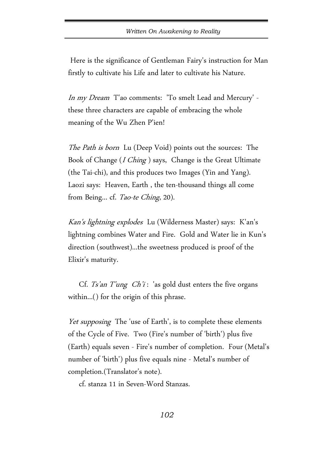Here is the significance of Gentleman Fairy's instruction for Man firstly to cultivate his Life and later to cultivate his Nature.

In my Dream T'ao comments: 'To smelt Lead and Mercury' these three characters are capable of embracing the whole meaning of the Wu Zhen P'ien!

The Path is born Lu (Deep Void) points out the sources: The Book of Change (*I Ching*) says, Change is the Great Ultimate (the Tai-chi), and this produces two Images (Yin and Yang). Laozi says: Heaven, Earth , the ten-thousand things all come from Being... cf. Tao-te Ching, 20).

Kan's lightning explodes Lu (Wilderness Master) says: K'an's lightning combines Water and Fire. Gold and Water lie in Kun's direction (southwest)...the sweetness produced is proof of the Elixir's maturity.

Cf. Ts'an T'ung  $Ch'i$ : 'as gold dust enters the five organs within...() for the origin of this phrase.

Yet supposing The 'use of Earth', is to complete these elements of the Cycle of Five. Two (Fire's number of 'birth') plus five (Earth) equals seven - Fire's number of completion. Four (Metal's number of 'birth') plus five equals nine - Metal's number of completion.(Translator's note).

cf. stanza 11 in Seven-Word Stanzas.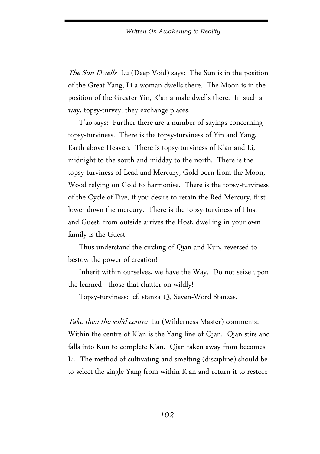The Sun Dwells Lu (Deep Void) says: The Sun is in the position of the Great Yang, Li a woman dwells there. The Moon is in the position of the Greater Yin, K'an a male dwells there. In such a way, topsy-turvey, they exchange places.

T'ao says: Further there are a number of sayings concerning topsy-turviness. There is the topsy-turviness of Yin and Yang, Earth above Heaven. There is topsy-turviness of K'an and Li, midnight to the south and midday to the north. There is the topsy-turviness of Lead and Mercury, Gold born from the Moon, Wood relying on Gold to harmonise. There is the topsy-turviness of the Cycle of Five, if you desire to retain the Red Mercury, first lower down the mercury. There is the topsy-turviness of Host and Guest, from outside arrives the Host, dwelling in your own family is the Guest.

Thus understand the circling of Qian and Kun, reversed to bestow the power of creation!

Inherit within ourselves, we have the Way. Do not seize upon the learned - those that chatter on wildly!

Topsy-turviness: cf. stanza 13, Seven-Word Stanzas.

Take then the solid centre Lu (Wilderness Master) comments: Within the centre of K'an is the Yang line of Qian. Qian stirs and falls into Kun to complete K'an. Qian taken away from becomes Li. The method of cultivating and smelting (discipline) should be to select the single Yang from within K'an and return it to restore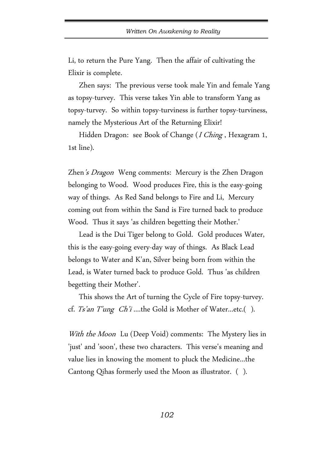Li, to return the Pure Yang. Then the affair of cultivating the Elixir is complete.

Zhen says: The previous verse took male Yin and female Yang as topsy-turvey. This verse takes Yin able to transform Yang as topsy-turvey. So within topsy-turviness is further topsy-turviness, namely the Mysterious Art of the Returning Elixir!

Hidden Dragon: see Book of Change (*I Ching*, Hexagram 1, 1st line).

Zhen's Dragon Weng comments: Mercury is the Zhen Dragon belonging to Wood. Wood produces Fire, this is the easy-going way of things. As Red Sand belongs to Fire and Li, Mercury coming out from within the Sand is Fire turned back to produce Wood. Thus it says 'as children begetting their Mother.'

Lead is the Dui Tiger belong to Gold. Gold produces Water, this is the easy-going every-day way of things. As Black Lead belongs to Water and K'an, Silver being born from within the Lead, is Water turned back to produce Gold. Thus 'as children begetting their Mother'.

This shows the Art of turning the Cycle of Fire topsy-turvey. cf. Ts'an T'ung Ch'i ....the Gold is Mother of Water...etc.( ).

With the Moon Lu (Deep Void) comments: The Mystery lies in 'just' and 'soon', these two characters. This verse's meaning and value lies in knowing the moment to pluck the Medicine...the Cantong Qihas formerly used the Moon as illustrator. ( ).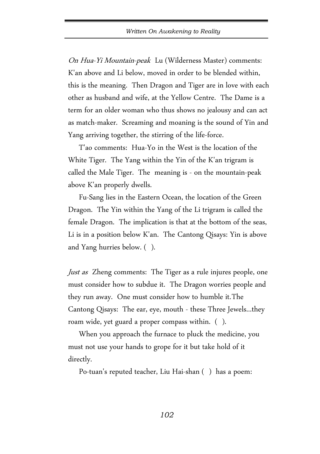On Hua-Yi Mountain-peak Lu (Wilderness Master) comments: K'an above and Li below, moved in order to be blended within, this is the meaning. Then Dragon and Tiger are in love with each other as husband and wife, at the Yellow Centre. The Dame is a term for an older woman who thus shows no jealousy and can act as match-maker. Screaming and moaning is the sound of Yin and Yang arriving together, the stirring of the life-force.

T'ao comments: Hua-Yo in the West is the location of the White Tiger. The Yang within the Yin of the K'an trigram is called the Male Tiger. The meaning is - on the mountain-peak above K'an properly dwells.

Fu-Sang lies in the Eastern Ocean, the location of the Green Dragon. The Yin within the Yang of the Li trigram is called the female Dragon. The implication is that at the bottom of the seas, Li is in a position below K'an. The Cantong Qisays: Yin is above and Yang hurries below. ( ).

Just as Zheng comments: The Tiger as a rule injures people, one must consider how to subdue it. The Dragon worries people and they run away. One must consider how to humble it.The Cantong Qisays: The ear, eye, mouth - these Three Jewels...they roam wide, yet guard a proper compass within. ( ).

When you approach the furnace to pluck the medicine, you must not use your hands to grope for it but take hold of it directly.

Po-tuan's reputed teacher, Liu Hai-shan ( ) has a poem: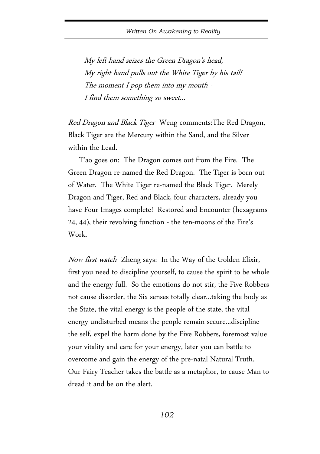My left hand seizes the Green Dragon's head, My right hand pulls out the White Tiger by his tail! The moment I pop them into my mouth - I find them something so sweet...

Red Dragon and Black Tiger Weng comments: The Red Dragon, Black Tiger are the Mercury within the Sand, and the Silver within the Lead.

T'ao goes on: The Dragon comes out from the Fire. The Green Dragon re-named the Red Dragon. The Tiger is born out of Water. The White Tiger re-named the Black Tiger. Merely Dragon and Tiger, Red and Black, four characters, already you have Four Images complete! Restored and Encounter (hexagrams 24, 44), their revolving function - the ten-moons of the Fire's Work.

Now first watch Zheng says: In the Way of the Golden Elixir, first you need to discipline yourself, to cause the spirit to be whole and the energy full. So the emotions do not stir, the Five Robbers not cause disorder, the Six senses totally clear...taking the body as the State, the vital energy is the people of the state, the vital energy undisturbed means the people remain secure...discipline the self, expel the harm done by the Five Robbers, foremost value your vitality and care for your energy, later you can battle to overcome and gain the energy of the pre-natal Natural Truth. Our Fairy Teacher takes the battle as a metaphor, to cause Man to dread it and be on the alert.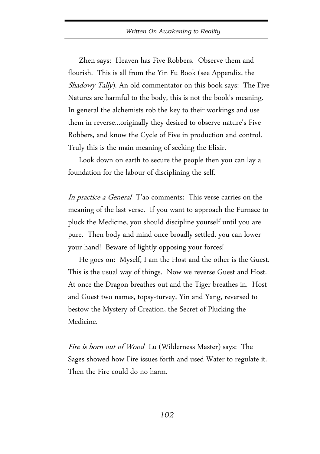Zhen says: Heaven has Five Robbers. Observe them and flourish. This is all from the Yin Fu Book (see Appendix, the Shadowy Tally). An old commentator on this book says: The Five Natures are harmful to the body, this is not the book's meaning. In general the alchemists rob the key to their workings and use them in reverse...originally they desired to observe nature's Five Robbers, and know the Cycle of Five in production and control. Truly this is the main meaning of seeking the Elixir.

Look down on earth to secure the people then you can lay a foundation for the labour of disciplining the self.

In practice a General T'ao comments: This verse carries on the meaning of the last verse. If you want to approach the Furnace to pluck the Medicine, you should discipline yourself until you are pure. Then body and mind once broadly settled, you can lower your hand! Beware of lightly opposing your forces!

He goes on: Myself, I am the Host and the other is the Guest. This is the usual way of things. Now we reverse Guest and Host. At once the Dragon breathes out and the Tiger breathes in. Host and Guest two names, topsy-turvey, Yin and Yang, reversed to bestow the Mystery of Creation, the Secret of Plucking the Medicine.

Fire is born out of Wood Lu (Wilderness Master) says: The Sages showed how Fire issues forth and used Water to regulate it. Then the Fire could do no harm.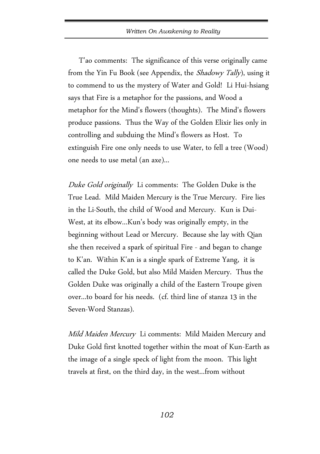T'ao comments: The significance of this verse originally came from the Yin Fu Book (see Appendix, the Shadowy Tally), using it to commend to us the mystery of Water and Gold! Li Hui-hsiang says that Fire is a metaphor for the passions, and Wood a metaphor for the Mind's flowers (thoughts). The Mind's flowers produce passions. Thus the Way of the Golden Elixir lies only in controlling and subduing the Mind's flowers as Host. To extinguish Fire one only needs to use Water, to fell a tree (Wood) one needs to use metal (an axe)...

Duke Gold originally Li comments: The Golden Duke is the True Lead. Mild Maiden Mercury is the True Mercury. Fire lies in the Li-South, the child of Wood and Mercury. Kun is Dui-West, at its elbow...Kun's body was originally empty, in the beginning without Lead or Mercury. Because she lay with Qian she then received a spark of spiritual Fire - and began to change to K'an. Within K'an is a single spark of Extreme Yang, it is called the Duke Gold, but also Mild Maiden Mercury. Thus the Golden Duke was originally a child of the Eastern Troupe given over...to board for his needs. (cf. third line of stanza 13 in the Seven-Word Stanzas).

Mild Maiden Mercury Li comments: Mild Maiden Mercury and Duke Gold first knotted together within the moat of Kun-Earth as the image of a single speck of light from the moon. This light travels at first, on the third day, in the west...from without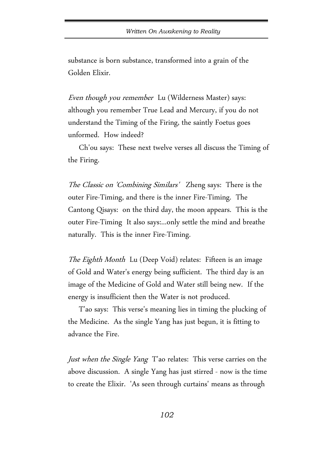substance is born substance, transformed into a grain of the Golden Elixir.

Even though you remember Lu (Wilderness Master) says: although you remember True Lead and Mercury, if you do not understand the Timing of the Firing, the saintly Foetus goes unformed. How indeed?

Ch'ou says: These next twelve verses all discuss the Timing of the Firing.

The Classic on 'Combining Similars' Zheng says: There is the outer Fire-Timing, and there is the inner Fire-Timing. The Cantong Qisays: on the third day, the moon appears. This is the outer Fire-Timing It also says:...only settle the mind and breathe naturally. This is the inner Fire-Timing.

The Eighth Month Lu (Deep Void) relates: Fifteen is an image of Gold and Water's energy being sufficient. The third day is an image of the Medicine of Gold and Water still being new. If the energy is insufficient then the Water is not produced.

T'ao says: This verse's meaning lies in timing the plucking of the Medicine. As the single Yang has just begun, it is fitting to advance the Fire.

Just when the Single Yang T'ao relates: This verse carries on the above discussion. A single Yang has just stirred - now is the time to create the Elixir. 'As seen through curtains' means as through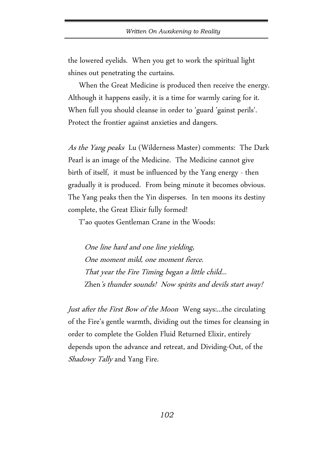the lowered eyelids. When you get to work the spiritual light shines out penetrating the curtains.

When the Great Medicine is produced then receive the energy. Although it happens easily, it is a time for warmly caring for it. When full you should cleanse in order to 'guard 'gainst perils'. Protect the frontier against anxieties and dangers.

As the Yang peaks Lu (Wilderness Master) comments: The Dark Pearl is an image of the Medicine. The Medicine cannot give birth of itself, it must be influenced by the Yang energy - then gradually it is produced. From being minute it becomes obvious. The Yang peaks then the Yin disperses. In ten moons its destiny complete, the Great Elixir fully formed!

T'ao quotes Gentleman Crane in the Woods:

One line hard and one line yielding, One moment mild, one moment fierce. That year the Fire Timing began a little child... Zhen's thunder sounds! Now spirits and devils start away!

Just after the First Bow of the Moon Weng says:...the circulating of the Fire's gentle warmth, dividing out the times for cleansing in order to complete the Golden Fluid Returned Elixir, entirely depends upon the advance and retreat, and Dividing-Out, of the Shadowy Tally and Yang Fire.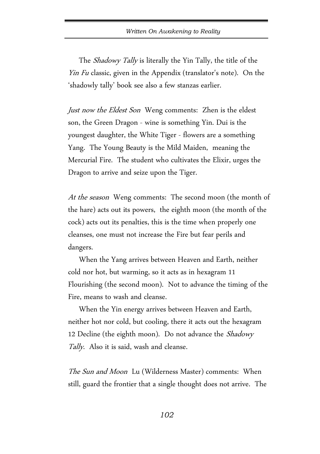The *Shadowy Tally* is literally the Yin Tally, the title of the Yin Fu classic, given in the Appendix (translator's note). On the 'shadowly tally' book see also a few stanzas earlier.

*Just now the Eldest Son* Weng comments: Zhen is the eldest son, the Green Dragon - wine is something Yin. Dui is the youngest daughter, the White Tiger - flowers are a something Yang. The Young Beauty is the Mild Maiden, meaning the Mercurial Fire. The student who cultivates the Elixir, urges the Dragon to arrive and seize upon the Tiger.

At the season Weng comments: The second moon (the month of the hare) acts out its powers, the eighth moon (the month of the cock) acts out its penalties, this is the time when properly one cleanses, one must not increase the Fire but fear perils and dangers.

When the Yang arrives between Heaven and Earth, neither cold nor hot, but warming, so it acts as in hexagram 11 Flourishing (the second moon). Not to advance the timing of the Fire, means to wash and cleanse.

When the Yin energy arrives between Heaven and Earth, neither hot nor cold, but cooling, there it acts out the hexagram 12 Decline (the eighth moon). Do not advance the *Shadowy* Tally. Also it is said, wash and cleanse.

The Sun and Moon Lu (Wilderness Master) comments: When still, guard the frontier that a single thought does not arrive. The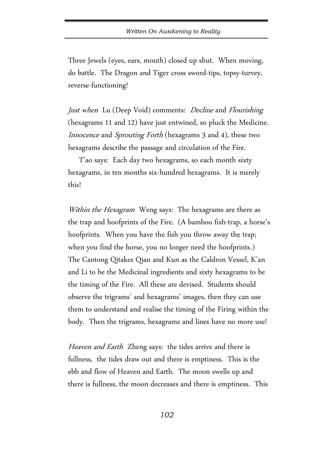Three Jewels (eyes, ears, mouth) closed up shut. When moving, do battle. The Dragon and Tiger cross sword-tips, topsy-turvey, reverse-functioning!

Just when Lu (Deep Void) comments: Decline and Flourishing (hexagrams 11 and 12) have just entwined, so pluck the Medicine. Innocence and Sprouting Forth (hexagrams 3 and 4), these two hexagrams describe the passage and circulation of the Fire.

T'ao says: Each day two hexagrams, so each month sixty hexagrams, in ten months six-hundred hexagrams. It is merely this!

Within the Hexagram Weng says: The hexagrams are there as the trap and hoofprints of the Fire. (A bamboo fish-trap, a horse's hoofprints. When you have the fish you throw away the trap; when you find the horse, you no longer need the hoofprints.) The Cantong Qitakes Qian and Kun as the Caldron Vessel, K'an and Li to be the Medicinal ingredients and sixty hexagrams to be the timing of the Fire. All these are devised. Students should observe the trigrams' and hexagrams' images, then they can use them to understand and realise the timing of the Firing within the body. Then the trigrams, hexagrams and lines have no more use!

Heaven and Earth Zheng says: the tides arrive and there is fullness, the tides draw out and there is emptiness. This is the ebb and flow of Heaven and Earth. The moon swells up and there is fullness, the moon decreases and there is emptiness. This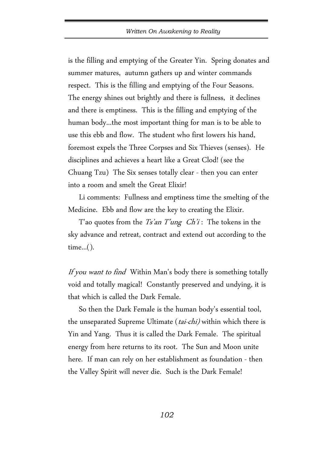is the filling and emptying of the Greater Yin. Spring donates and summer matures, autumn gathers up and winter commands respect. This is the filling and emptying of the Four Seasons. The energy shines out brightly and there is fullness, it declines and there is emptiness. This is the filling and emptying of the human body...the most important thing for man is to be able to use this ebb and flow. The student who first lowers his hand, foremost expels the Three Corpses and Six Thieves (senses). He disciplines and achieves a heart like a Great Clod! (see the Chuang Tzu) The Six senses totally clear - then you can enter into a room and smelt the Great Elixir!

Li comments: Fullness and emptiness time the smelting of the Medicine. Ebb and flow are the key to creating the Elixir.

T'ao quotes from the  $Ts'an T'ung Ch'i$ : The tokens in the sky advance and retreat, contract and extend out according to the time...().

If you want to find Within Man's body there is something totally void and totally magical! Constantly preserved and undying, it is that which is called the Dark Female.

So then the Dark Female is the human body's essential tool, the unseparated Supreme Ultimate (*tai-chi*) within which there is Yin and Yang. Thus it is called the Dark Female. The spiritual energy from here returns to its root. The Sun and Moon unite here. If man can rely on her establishment as foundation - then the Valley Spirit will never die. Such is the Dark Female!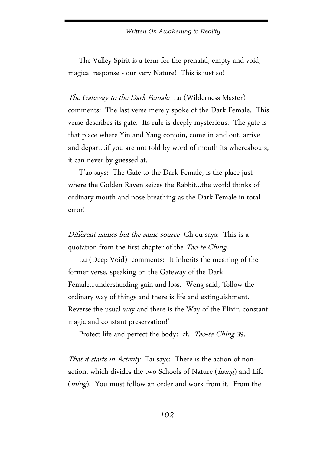The Valley Spirit is a term for the prenatal, empty and void, magical response - our very Nature! This is just so!

The Gateway to the Dark Female Lu (Wilderness Master) comments: The last verse merely spoke of the Dark Female. This verse describes its gate. Its rule is deeply mysterious. The gate is that place where Yin and Yang conjoin, come in and out, arrive and depart...if you are not told by word of mouth its whereabouts, it can never by guessed at.

T'ao says: The Gate to the Dark Female, is the place just where the Golden Raven seizes the Rabbit...the world thinks of ordinary mouth and nose breathing as the Dark Female in total error!

Different names but the same source Ch'ou says: This is a quotation from the first chapter of the Tao-te Ching.

Lu (Deep Void) comments: It inherits the meaning of the former verse, speaking on the Gateway of the Dark Female...understanding gain and loss. Weng said, 'follow the ordinary way of things and there is life and extinguishment. Reverse the usual way and there is the Way of the Elixir, constant magic and constant preservation!'

Protect life and perfect the body: cf. Tao-te Ching 39.

That it starts in Activity Tai says: There is the action of nonaction, which divides the two Schools of Nature (hsing) and Life (*ming*). You must follow an order and work from it. From the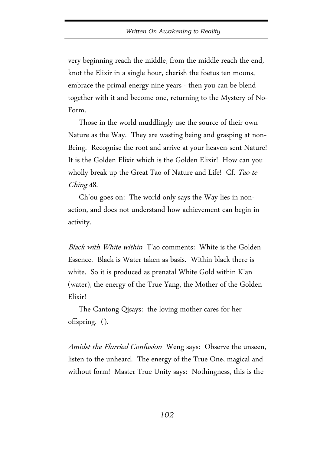very beginning reach the middle, from the middle reach the end, knot the Elixir in a single hour, cherish the foetus ten moons, embrace the primal energy nine years - then you can be blend together with it and become one, returning to the Mystery of No-Form.

Those in the world muddlingly use the source of their own Nature as the Way. They are wasting being and grasping at non-Being. Recognise the root and arrive at your heaven-sent Nature! It is the Golden Elixir which is the Golden Elixir! How can you wholly break up the Great Tao of Nature and Life! Cf. *Tao-te* Ching 48.

Ch'ou goes on: The world only says the Way lies in nonaction, and does not understand how achievement can begin in activity.

Black with White within T'ao comments: White is the Golden Essence. Black is Water taken as basis. Within black there is white. So it is produced as prenatal White Gold within K'an (water), the energy of the True Yang, the Mother of the Golden Elixir!

The Cantong Qisays: the loving mother cares for her offspring. ().

Amidst the Flurried Confusion Weng says: Observe the unseen, listen to the unheard. The energy of the True One, magical and without form! Master True Unity says: Nothingness, this is the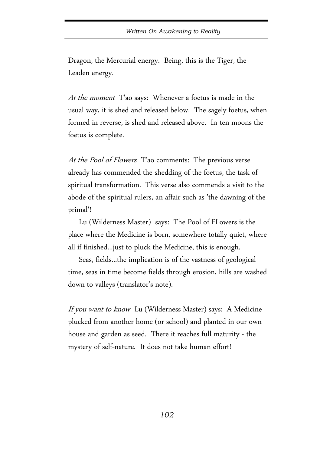Dragon, the Mercurial energy. Being, this is the Tiger, the Leaden energy.

At the moment T'ao says: Whenever a foetus is made in the usual way, it is shed and released below. The sagely foetus, when formed in reverse, is shed and released above. In ten moons the foetus is complete.

At the Pool of Flowers T'ao comments: The previous verse already has commended the shedding of the foetus, the task of spiritual transformation. This verse also commends a visit to the abode of the spiritual rulers, an affair such as 'the dawning of the primal'!

Lu (Wilderness Master) says: The Pool of FLowers is the place where the Medicine is born, somewhere totally quiet, where all if finished...just to pluck the Medicine, this is enough.

Seas, fields...the implication is of the vastness of geological time, seas in time become fields through erosion, hills are washed down to valleys (translator's note).

If you want to know Lu (Wilderness Master) says: A Medicine plucked from another home (or school) and planted in our own house and garden as seed. There it reaches full maturity - the mystery of self-nature. It does not take human effort!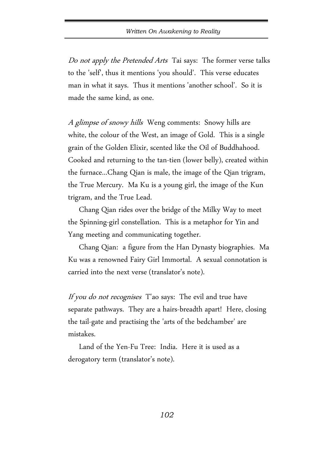Do not apply the Pretended Arts Tai says: The former verse talks to the 'self', thus it mentions 'you should'. This verse educates man in what it says. Thus it mentions 'another school'. So it is made the same kind, as one.

A glimpse of snowy hills Weng comments: Snowy hills are white, the colour of the West, an image of Gold. This is a single grain of the Golden Elixir, scented like the Oil of Buddhahood. Cooked and returning to the tan-tien (lower belly), created within the furnace...Chang Qian is male, the image of the Qian trigram, the True Mercury. Ma Ku is a young girl, the image of the Kun trigram, and the True Lead.

Chang Qian rides over the bridge of the Milky Way to meet the Spinning-girl constellation. This is a metaphor for Yin and Yang meeting and communicating together.

Chang Qian: a figure from the Han Dynasty biographies. Ma Ku was a renowned Fairy Girl Immortal. A sexual connotation is carried into the next verse (translator's note).

If you do not recognises T'ao says: The evil and true have separate pathways. They are a hairs-breadth apart! Here, closing the tail-gate and practising the 'arts of the bedchamber' are mistakes.

Land of the Yen-Fu Tree: India. Here it is used as a derogatory term (translator's note).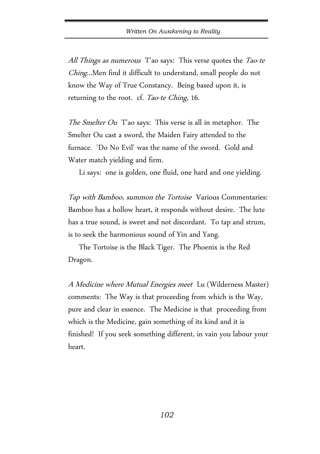All Things as numerous T'ao says: This verse quotes the Tao-te Ching...Men find it difficult to understand, small people do not know the Way of True Constancy. Being based upon it, is returning to the root. cf. Tao-te Ching, 16.

The Smelter Ou T'ao says: This verse is all in metaphor. The Smelter Ou cast a sword, the Maiden Fairy attended to the furnace. 'Do No Evil' was the name of the sword. Gold and Water match yielding and firm.

Li says: one is golden, one fluid, one hard and one yielding.

Tap with Bamboo, summon the Tortoise Various Commentaries: Bamboo has a hollow heart, it responds without desire. The lute has a true sound, is sweet and not discordant. To tap and strum, is to seek the harmonious sound of Yin and Yang.

The Tortoise is the Black Tiger. The Phoenix is the Red Dragon.

A Medicine where Mutual Energies meet Lu (Wilderness Master) comments: The Way is that proceeding from which is the Way, pure and clear in essence. The Medicine is that proceeding from which is the Medicine, gain something of its kind and it is finished! If you seek something different, in vain you labour your heart.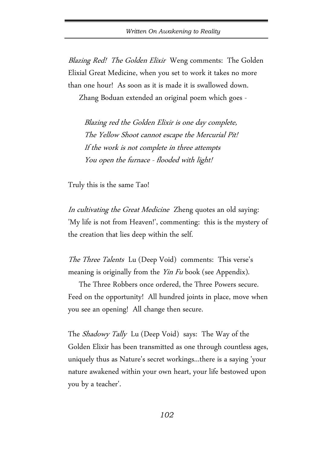Blazing Red! The Golden Elixir Weng comments: The Golden Elixial Great Medicine, when you set to work it takes no more than one hour! As soon as it is made it is swallowed down.

Zhang Boduan extended an original poem which goes -

Blazing red the Golden Elixir is one day complete, The Yellow Shoot cannot escape the Mercurial Pit! If the work is not complete in three attempts You open the furnace - flooded with light!

Truly this is the same Tao!

In cultivating the Great Medicine Zheng quotes an old saying: 'My life is not from Heaven!', commenting: this is the mystery of the creation that lies deep within the self.

The Three Talents Lu (Deep Void) comments: This verse's meaning is originally from the *Yin Fu* book (see Appendix).

The Three Robbers once ordered, the Three Powers secure. Feed on the opportunity! All hundred joints in place, move when you see an opening! All change then secure.

The Shadowy Tally Lu (Deep Void) says: The Way of the Golden Elixir has been transmitted as one through countless ages, uniquely thus as Nature's secret workings...there is a saying 'your nature awakened within your own heart, your life bestowed upon you by a teacher'.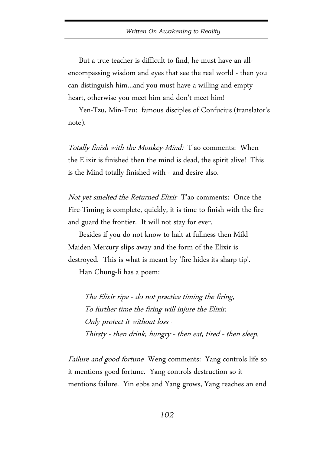But a true teacher is difficult to find, he must have an allencompassing wisdom and eyes that see the real world - then you can distinguish him...and you must have a willing and empty heart, otherwise you meet him and don't meet him!

Yen-Tzu, Min-Tzu: famous disciples of Confucius (translator's note).

Totally finish with the Monkey-Mind: T'ao comments: When the Elixir is finished then the mind is dead, the spirit alive! This is the Mind totally finished with - and desire also.

Not yet smelted the Returned Elixir T'ao comments: Once the Fire-Timing is complete, quickly, it is time to finish with the fire and guard the frontier. It will not stay for ever.

Besides if you do not know to halt at fullness then Mild Maiden Mercury slips away and the form of the Elixir is destroyed. This is what is meant by 'fire hides its sharp tip'. Han Chung-li has a poem:

The Elixir ripe - do not practice timing the firing, To further time the firing will injure the Elixir. Only protect it without loss - Thirsty - then drink, hungry - then eat, tired - then sleep.

Failure and good fortune Weng comments: Yang controls life so it mentions good fortune. Yang controls destruction so it mentions failure. Yin ebbs and Yang grows, Yang reaches an end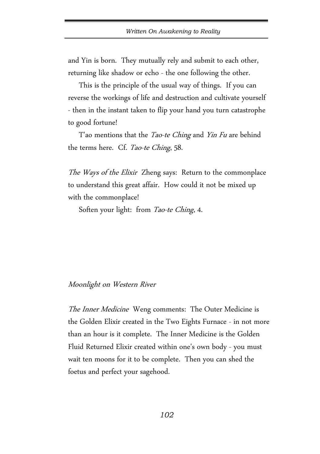and Yin is born. They mutually rely and submit to each other, returning like shadow or echo - the one following the other.

This is the principle of the usual way of things. If you can reverse the workings of life and destruction and cultivate yourself - then in the instant taken to flip your hand you turn catastrophe to good fortune!

T'ao mentions that the Tao-te Ching and Yin Fu are behind the terms here. Cf. Tao-te Ching, 58.

The Ways of the Elixir Zheng says: Return to the commonplace to understand this great affair. How could it not be mixed up with the commonplace!

Soften your light: from *Tao-te Ching*, 4.

#### Moonlight on Western River

The Inner Medicine Weng comments: The Outer Medicine is the Golden Elixir created in the Two Eights Furnace - in not more than an hour is it complete. The Inner Medicine is the Golden Fluid Returned Elixir created within one's own body - you must wait ten moons for it to be complete. Then you can shed the foetus and perfect your sagehood.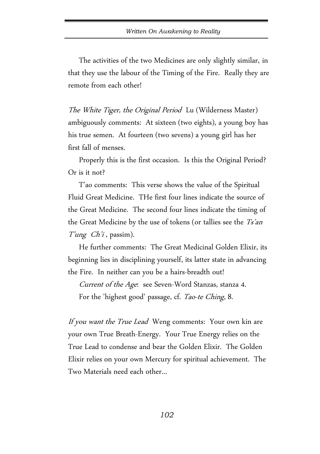The activities of the two Medicines are only slightly similar, in that they use the labour of the Timing of the Fire. Really they are remote from each other!

The White Tiger, the Original Period Lu (Wilderness Master) ambiguously comments: At sixteen (two eights), a young boy has his true semen. At fourteen (two sevens) a young girl has her first fall of menses.

Properly this is the first occasion. Is this the Original Period? Or is it not?

T'ao comments: This verse shows the value of the Spiritual Fluid Great Medicine. THe first four lines indicate the source of the Great Medicine. The second four lines indicate the timing of the Great Medicine by the use of tokens (or tallies see the Ts'an T'ung  $Ch'i$ , passim).

He further comments: The Great Medicinal Golden Elixir, its beginning lies in disciplining yourself, its latter state in advancing the Fire. In neither can you be a hairs-breadth out!

Current of the Age: see Seven-Word Stanzas, stanza 4. For the 'highest good' passage, cf. Tao-te Ching, 8.

If you want the True Lead Weng comments: Your own kin are your own True Breath-Energy. Your True Energy relies on the True Lead to condense and bear the Golden Elixir. The Golden Elixir relies on your own Mercury for spiritual achievement. The Two Materials need each other...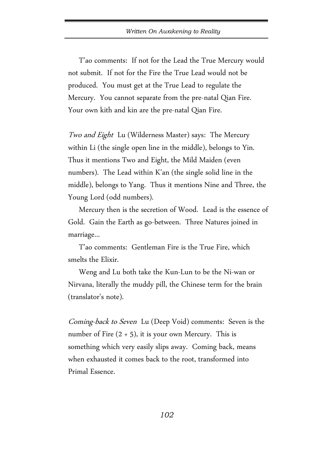T'ao comments: If not for the Lead the True Mercury would not submit. If not for the Fire the True Lead would not be produced. You must get at the True Lead to regulate the Mercury. You cannot separate from the pre-natal Qian Fire. Your own kith and kin are the pre-natal Qian Fire.

Two and Eight Lu (Wilderness Master) says: The Mercury within Li (the single open line in the middle), belongs to Yin. Thus it mentions Two and Eight, the Mild Maiden (even numbers). The Lead within K'an (the single solid line in the middle), belongs to Yang. Thus it mentions Nine and Three, the Young Lord (odd numbers).

Mercury then is the secretion of Wood. Lead is the essence of Gold. Gain the Earth as go-between. Three Natures joined in marriage...

T'ao comments: Gentleman Fire is the True Fire, which smelts the Elixir.

Weng and Lu both take the Kun-Lun to be the Ni-wan or Nirvana, literally the muddy pill, the Chinese term for the brain (translator's note).

Coming-back to Seven Lu (Deep Void) comments: Seven is the number of Fire (2 + 5), it is your own Mercury. This is something which very easily slips away. Coming back, means when exhausted it comes back to the root, transformed into Primal Essence.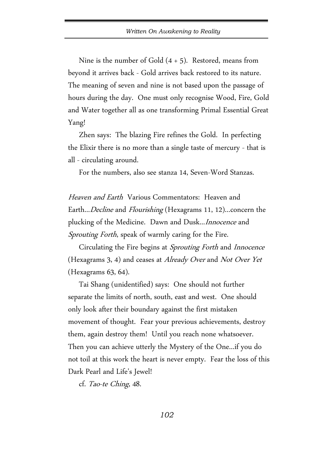Nine is the number of Gold (4 + 5). Restored, means from beyond it arrives back - Gold arrives back restored to its nature. The meaning of seven and nine is not based upon the passage of hours during the day. One must only recognise Wood, Fire, Gold and Water together all as one transforming Primal Essential Great Yang!

Zhen says: The blazing Fire refines the Gold. In perfecting the Elixir there is no more than a single taste of mercury - that is all - circulating around.

For the numbers, also see stanza 14, Seven-Word Stanzas.

Heaven and Earth Various Commentators: Heaven and Earth...*Decline* and *Flourishing* (Hexagrams 11, 12)...concern the plucking of the Medicine. Dawn and Dusk...*Innocence* and Sprouting Forth, speak of warmly caring for the Fire.

Circulating the Fire begins at Sprouting Forth and Innocence (Hexagrams 3, 4) and ceases at Already Over and Not Over Yet (Hexagrams 63, 64).

Tai Shang (unidentified) says: One should not further separate the limits of north, south, east and west. One should only look after their boundary against the first mistaken movement of thought. Fear your previous achievements, destroy them, again destroy them! Until you reach none whatsoever. Then you can achieve utterly the Mystery of the One...if you do not toil at this work the heart is never empty. Fear the loss of this Dark Pearl and Life's Jewel!

cf. Tao-te Ching, 48.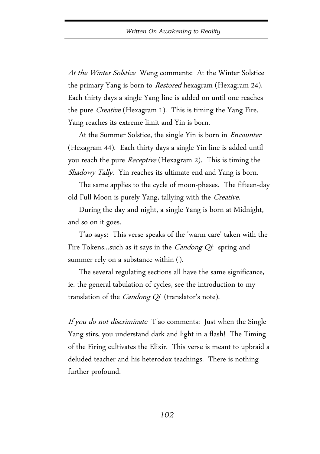At the Winter Solstice Weng comments: At the Winter Solstice the primary Yang is born to Restored hexagram (Hexagram 24). Each thirty days a single Yang line is added on until one reaches the pure *Creative* (Hexagram 1). This is timing the Yang Fire. Yang reaches its extreme limit and Yin is born.

At the Summer Solstice, the single Yin is born in Encounter (Hexagram 44). Each thirty days a single Yin line is added until you reach the pure *Receptive* (Hexagram 2). This is timing the Shadowy Tally. Yin reaches its ultimate end and Yang is born.

The same applies to the cycle of moon-phases. The fifteen-day old Full Moon is purely Yang, tallying with the Creative.

During the day and night, a single Yang is born at Midnight, and so on it goes.

T'ao says: This verse speaks of the 'warm care' taken with the Fire Tokens...such as it says in the *Candong Qi*: spring and summer rely on a substance within ().

The several regulating sections all have the same significance, ie. the general tabulation of cycles, see the introduction to my translation of the *Candong Qi* (translator's note).

If you do not discriminate T'ao comments: Just when the Single Yang stirs, you understand dark and light in a flash! The Timing of the Firing cultivates the Elixir. This verse is meant to upbraid a deluded teacher and his heterodox teachings. There is nothing further profound.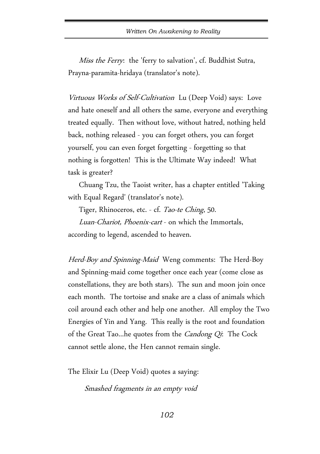*Miss the Ferry*: the 'ferry to salvation', cf. Buddhist Sutra, Prayna-paramita-hridaya (translator's note).

Virtuous Works of Self-Cultivation Lu (Deep Void) says: Love and hate oneself and all others the same, everyone and everything treated equally. Then without love, without hatred, nothing held back, nothing released - you can forget others, you can forget yourself, you can even forget forgetting - forgetting so that nothing is forgotten! This is the Ultimate Way indeed! What task is greater?

Chuang Tzu, the Taoist writer, has a chapter entitled 'Taking with Equal Regard' (translator's note).

Tiger, Rhinoceros, etc. - cf. Tao-te Ching, 50.

Luan-Chariot, Phoenix-cart - on which the Immortals, according to legend, ascended to heaven.

Herd-Boy and Spinning-Maid Weng comments: The Herd-Boy and Spinning-maid come together once each year (come close as constellations, they are both stars). The sun and moon join once each month. The tortoise and snake are a class of animals which coil around each other and help one another. All employ the Two Energies of Yin and Yang. This really is the root and foundation of the Great Tao...he quotes from the *Candong Qi*: The Cock cannot settle alone, the Hen cannot remain single.

The Elixir Lu (Deep Void) quotes a saying:

Smashed fragments in an empty void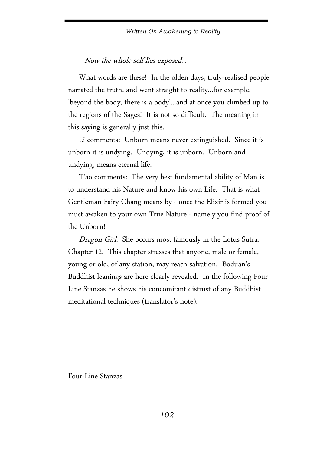Now the whole self lies exposed...

What words are these! In the olden days, truly-realised people narrated the truth, and went straight to reality...for example, 'beyond the body, there is a body'...and at once you climbed up to the regions of the Sages! It is not so difficult. The meaning in this saying is generally just this.

Li comments: Unborn means never extinguished. Since it is unborn it is undying. Undying, it is unborn. Unborn and undying, means eternal life.

T'ao comments: The very best fundamental ability of Man is to understand his Nature and know his own Life. That is what Gentleman Fairy Chang means by - once the Elixir is formed you must awaken to your own True Nature - namely you find proof of the Unborn!

Dragon Girl: She occurs most famously in the Lotus Sutra, Chapter 12. This chapter stresses that anyone, male or female, young or old, of any station, may reach salvation. Boduan's Buddhist leanings are here clearly revealed. In the following Four Line Stanzas he shows his concomitant distrust of any Buddhist meditational techniques (translator's note).

Four-Line Stanzas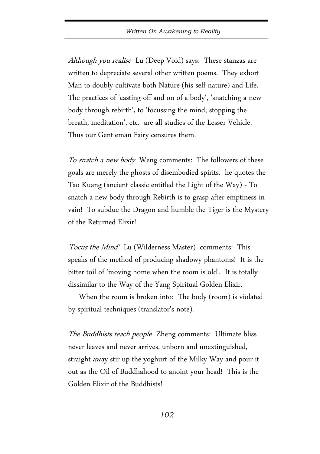Although you realise Lu (Deep Void) says: These stanzas are written to depreciate several other written poems. They exhort Man to doubly-cultivate both Nature (his self-nature) and Life. The practices of 'casting-off and on of a body', 'snatching a new body through rebirth', to 'focussing the mind, stopping the breath, meditation', etc. are all studies of the Lesser Vehicle. Thus our Gentleman Fairy censures them.

To snatch a new body Weng comments: The followers of these goals are merely the ghosts of disembodied spirits. he quotes the Tao Kuang (ancient classic entitled the Light of the Way) - To snatch a new body through Rebirth is to grasp after emptiness in vain! To subdue the Dragon and humble the Tiger is the Mystery of the Returned Elixir!

'Focus the Mind' Lu (Wilderness Master) comments: This speaks of the method of producing shadowy phantoms! It is the bitter toil of 'moving home when the room is old'. It is totally dissimilar to the Way of the Yang Spiritual Golden Elixir.

When the room is broken into: The body (room) is violated by spiritual techniques (translator's note).

The Buddhists teach people Zheng comments: Ultimate bliss never leaves and never arrives, unborn and unextinguished, straight away stir up the yoghurt of the Milky Way and pour it out as the Oil of Buddhahood to anoint your head! This is the Golden Elixir of the Buddhists!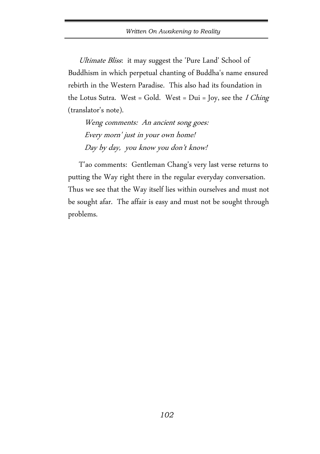Ultimate Bliss: it may suggest the 'Pure Land' School of Buddhism in which perpetual chanting of Buddha's name ensured rebirth in the Western Paradise. This also had its foundation in the Lotus Sutra. West = Gold. West = Dui = Joy, see the  $I$  Ching (translator's note).

Weng comments: An ancient song goes: Every morn' just in your own home! Day by day, you know you don't know!

T'ao comments: Gentleman Chang's very last verse returns to putting the Way right there in the regular everyday conversation. Thus we see that the Way itself lies within ourselves and must not be sought afar. The affair is easy and must not be sought through problems.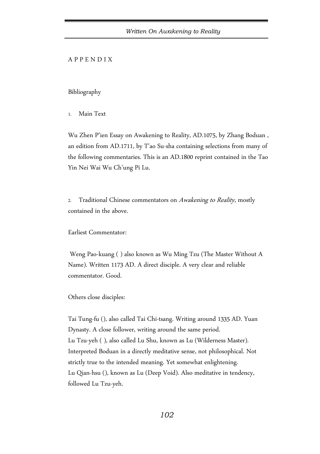A P P E N D I X

Bibliography

1. Main Text

Wu Zhen P'ien Essay on Awakening to Reality, AD.1075, by Zhang Boduan , an edition from AD.1711, by T'ao Su-sha containing selections from many of the following commentaries. This is an AD.1800 reprint contained in the Tao Yin Nei Wai Wu Ch'ung Pi Lu.

2. Traditional Chinese commentators on Awakening to Reality, mostly contained in the above.

Earliest Commentator:

Weng Pao-kuang ( ) also known as Wu Ming Tzu (The Master Without A Name). Written 1173 AD. A direct disciple. A very clear and reliable commentator. Good.

Others close disciples:

Tai Tung-fu (), also called Tai Chi-tsang. Writing around 1335 AD. Yuan Dynasty. A close follower, writing around the same period. Lu Tzu-yeh ( ), also called Lu Shu, known as Lu (Wilderness Master). Interpreted Boduan in a directly meditative sense, not philosophical. Not strictly true to the intended meaning. Yet somewhat enlightening. Lu Qian-hsu (), known as Lu (Deep Void). Also meditative in tendency, followed Lu Tzu-yeh.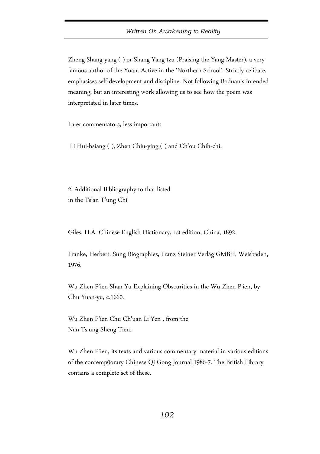Zheng Shang-yang ( ) or Shang Yang-tzu (Praising the Yang Master), a very famous author of the Yuan. Active in the 'Northern School'. Strictly celibate, emphasises self-development and discipline. Not following Boduan's intended meaning, but an interesting work allowing us to see how the poem was interpretated in later times.

Later commentators, less important:

Li Hui-hsiang ( ), Zhen Chiu-ying ( ) and Ch'ou Chih-chi.

2. Additional Bibliography to that listed in the Ts'an T'ung Chi

Giles, H.A. Chinese-English Dictionary, 1st edition, China, 1892.

Franke, Herbert. Sung Biographies, Franz Steiner Verlag GMBH, Weisbaden, 1976.

Wu Zhen P'ien Shan Yu Explaining Obscurities in the Wu Zhen P'ien, by Chu Yuan-yu, c.1660.

Wu Zhen P'ien Chu Ch'uan Li Yen , from the Nan Ts'ung Sheng Tien.

Wu Zhen P'ien, its texts and various commentary material in various editions of the contemp0orary Chinese Qi Gong Journal 1986-7. The British Library contains a complete set of these.